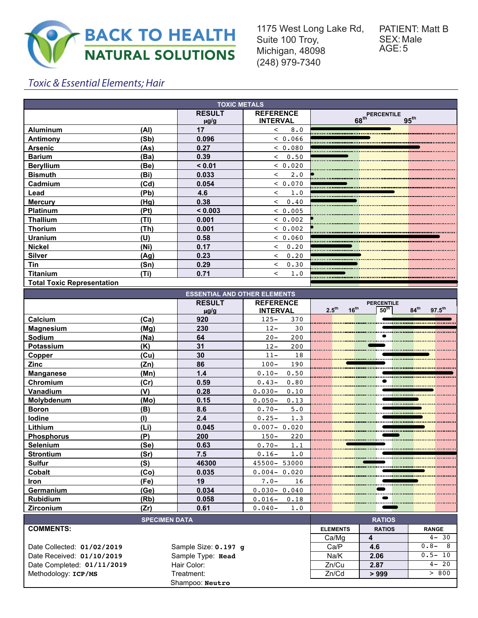

1175 West Long Lake Rd, Suite 100 Troy, Michigan, 48098 (248) 979-7340

# Toxic & Essential Elements; Hair

| <b>TOXIC METALS</b>               |      |                            |                                     |                                                           |  |  |  |  |
|-----------------------------------|------|----------------------------|-------------------------------------|-----------------------------------------------------------|--|--|--|--|
|                                   |      | <b>RESULT</b><br>$\mu$ g/g | <b>REFERENCE</b><br><b>INTERVAL</b> | <b>PERCENTILE</b><br>68 <sup>th</sup><br>95 <sup>th</sup> |  |  |  |  |
| <b>Aluminum</b>                   | (Al) | 17                         | 8.0<br>$\prec$                      |                                                           |  |  |  |  |
| Antimony                          | (Sb) | 0.096                      | < 0.066                             |                                                           |  |  |  |  |
| <b>Arsenic</b>                    | (As) | 0.27                       | < 0.080                             |                                                           |  |  |  |  |
| <b>Barium</b>                     | (Ba) | 0.39                       | & 0.50                              |                                                           |  |  |  |  |
| <b>Beryllium</b>                  | (Be) | < 0.01                     | < 0.020                             |                                                           |  |  |  |  |
| <b>Bismuth</b>                    | (Bi) | 0.033                      | $2 \cdot 0$<br>$\lt$                |                                                           |  |  |  |  |
| Cadmium                           | (Cd) | 0.054                      | < 0.070                             |                                                           |  |  |  |  |
| Lead                              | (Pb) | 4.6                        | 1.0<br>$\,<\,$                      |                                                           |  |  |  |  |
| <b>Mercury</b>                    | (Hg) | 0.38                       | 0.40<br>$\overline{\phantom{a}}$    |                                                           |  |  |  |  |
| <b>Platinum</b>                   | (Pt) | < 0.003                    | < 0.005                             |                                                           |  |  |  |  |
| <b>Thallium</b>                   | (TI) | 0.001                      | < 0.002                             |                                                           |  |  |  |  |
| <b>Thorium</b>                    | (Th) | 0.001                      | < 0.002                             |                                                           |  |  |  |  |
| Uranium                           | (U)  | 0.58                       | < 0.060                             |                                                           |  |  |  |  |
| <b>Nickel</b>                     | (Ni) | 0.17                       | 0.20<br>$\,<\,$                     |                                                           |  |  |  |  |
| <b>Silver</b>                     | (Aq) | 0.23                       | 0.20<br>$\prec$                     |                                                           |  |  |  |  |
| Tin                               | (Sn) | 0.29                       | 0.30<br>$\lt$                       |                                                           |  |  |  |  |
| <b>Titanium</b>                   | (Ti) | 0.71                       | 1.0<br>$\,<\,$                      |                                                           |  |  |  |  |
| <b>Total Toxic Representation</b> |      |                            |                                     |                                                           |  |  |  |  |

| <b>ESSENTIAL AND OTHER ELEMENTS</b> |               |                   |                                                                                       |  |  |  |  |  |
|-------------------------------------|---------------|-------------------|---------------------------------------------------------------------------------------|--|--|--|--|--|
|                                     | <b>RESULT</b> | <b>REFERENCE</b>  | <b>PERCENTILE</b>                                                                     |  |  |  |  |  |
|                                     | $\mu$ g/g     | <b>INTERVAL</b>   | 2.5 <sup>th</sup><br>$16^{th}$<br>50 <sup>th</sup><br>$84^{\text{th}}$<br>$97.5^{th}$ |  |  |  |  |  |
| (Ca)<br>Calcium                     | 920           | $125 -$<br>370    |                                                                                       |  |  |  |  |  |
| (Mq)<br><b>Magnesium</b>            | 230           | $12 -$<br>30      |                                                                                       |  |  |  |  |  |
| Sodium<br>(Na)                      | 64            | 200<br>$20 -$     |                                                                                       |  |  |  |  |  |
| <b>Potassium</b><br>(K)             | 31            | $12 -$<br>200     |                                                                                       |  |  |  |  |  |
| (Cu)<br>Copper                      | 30            | $11 -$<br>18      |                                                                                       |  |  |  |  |  |
| <b>Zinc</b><br>(Zn)                 | 86            | $100 -$<br>190    |                                                                                       |  |  |  |  |  |
| (Mn)<br><b>Manganese</b>            | 1.4           | $0.10 -$<br>0.50  |                                                                                       |  |  |  |  |  |
| (Cr)<br>Chromium                    | 0.59          | $0.43-$<br>0.80   |                                                                                       |  |  |  |  |  |
| Vanadium<br>(V)                     | 0.28          | $0.030 -$<br>0.10 |                                                                                       |  |  |  |  |  |
| Molybdenum<br>(Mo)                  | 0.15          | $0.050 -$<br>0.13 |                                                                                       |  |  |  |  |  |
| (B)<br><b>Boron</b>                 | 8.6           | $0.70 -$<br>5.0   |                                                                                       |  |  |  |  |  |
| lodine<br>(1)                       | 2.4           | $0.25 -$<br>1.3   |                                                                                       |  |  |  |  |  |
| Lithium<br>(L <sub>i</sub> )        | 0.045         | $0.007 - 0.020$   |                                                                                       |  |  |  |  |  |
| (P)<br><b>Phosphorus</b>            | 200           | $150 -$<br>220    |                                                                                       |  |  |  |  |  |
| <b>Selenium</b><br>(Se)             | 0.63          | $0.70 -$<br>1.1   |                                                                                       |  |  |  |  |  |
| <b>Strontium</b><br>(Sr)            | 7.5           | $0.16 -$<br>1.0   |                                                                                       |  |  |  |  |  |
| <b>Sulfur</b><br>(S)                | 46300         | 45500-53000       |                                                                                       |  |  |  |  |  |
| Cobalt<br>(C <sub>O</sub> )         | 0.035         | $0.004 - 0.020$   |                                                                                       |  |  |  |  |  |
| (Fe)<br><b>Iron</b>                 | 19            | $7.0 -$<br>16     |                                                                                       |  |  |  |  |  |
| Germanium<br>(Ge)                   | 0.034         | $0.030 - 0.040$   |                                                                                       |  |  |  |  |  |
| <b>Rubidium</b><br>(Rb)             | 0.058         | $0.016 -$<br>0.18 |                                                                                       |  |  |  |  |  |
| (Zr)<br>Zirconium                   | 0.61          | $0.040-$<br>1.0   |                                                                                       |  |  |  |  |  |

| <b>SPECIMEN DATA</b>       |                      |                 | <b>RATIOS</b> |              |  |
|----------------------------|----------------------|-----------------|---------------|--------------|--|
| <b>COMMENTS:</b>           |                      | <b>ELEMENTS</b> | <b>RATIOS</b> | <b>RANGE</b> |  |
|                            |                      | Ca/Mq           |               | $4 - 30$     |  |
| Date Collected: 01/02/2019 | Sample Size: 0.197 q | Ca/P            | 4.6           | $0.8 -$<br>8 |  |
| Date Received: 01/10/2019  | Sample Type: Head    | Na/K            | 2.06          | $0.5 - 10$   |  |
| Date Completed: 01/11/2019 | Hair Color:          | Zn/Cu           | 2.87          | $4 - 20$     |  |
| Methodology: ICP/MS        | Treatment:           | Zn/Cd           | >999          | > 800        |  |
|                            | Shampoo: Neutro      |                 |               |              |  |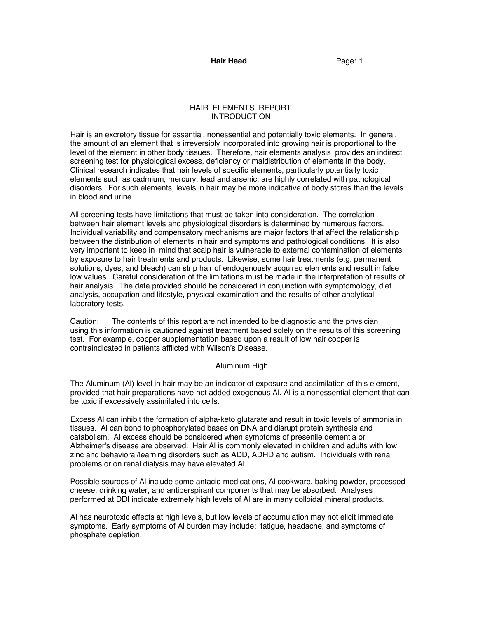# HAIR ELEMENTS REPORT **INTRODUCTION**

Hair is an excretory tissue for essential, nonessential and potentially toxic elements. In general, the amount of an element that is irreversibly incorporated into growing hair is proportional to the level of the element in other body tissues. Therefore, hair elements analysis provides an indirect screening test for physiological excess, deficiency or maldistribution of elements in the body. Clinical research indicates that hair levels of specific elements, particularly potentially toxic elements such as cadmium, mercury, lead and arsenic, are highly correlated with pathological disorders. For such elements, levels in hair may be more indicative of body stores than the levels in blood and urine.

All screening tests have limitations that must be taken into consideration. The correlation between hair element levels and physiological disorders is determined by numerous factors. Individual variability and compensatory mechanisms are major factors that affect the relationship between the distribution of elements in hair and symptoms and pathological conditions. It is also very important to keep in mind that scalp hair is vulnerable to external contamination of elements by exposure to hair treatments and products. Likewise, some hair treatments (e.g. permanent solutions, dyes, and bleach) can strip hair of endogenously acquired elements and result in false low values. Careful consideration of the limitations must be made in the interpretation of results of hair analysis. The data provided should be considered in conjunction with symptomology, diet analysis, occupation and lifestyle, physical examination and the results of other analytical laboratory tests.

Caution: The contents of this report are not intended to be diagnostic and the physician using this information is cautioned against treatment based solely on the results of this screening test. For example, copper supplementation based upon a result of low hair copper is contraindicated in patients afflicted with Wilson's Disease.

# Aluminum High

The Aluminum (Al) level in hair may be an indicator of exposure and assimilation of this element, provided that hair preparations have not added exogenous Al. Al is a nonessential element that can be toxic if excessively assimilated into cells.

Excess Al can inhibit the formation of alpha-keto glutarate and result in toxic levels of ammonia in tissues. Al can bond to phosphorylated bases on DNA and disrupt protein synthesis and catabolism. Al excess should be considered when symptoms of presenile dementia or Alzheimer's disease are observed. Hair Al is commonly elevated in children and adults with low zinc and behavioral/learning disorders such as ADD, ADHD and autism. Individuals with renal problems or on renal dialysis may have elevated Al.

Possible sources of Al include some antacid medications, Al cookware, baking powder, processed cheese, drinking water, and antiperspirant components that may be absorbed. Analyses performed at DDI indicate extremely high levels of Al are in many colloidal mineral products.

Al has neurotoxic effects at high levels, but low levels of accumulation may not elicit immediate symptoms. Early symptoms of Al burden may include: fatigue, headache, and symptoms of phosphate depletion.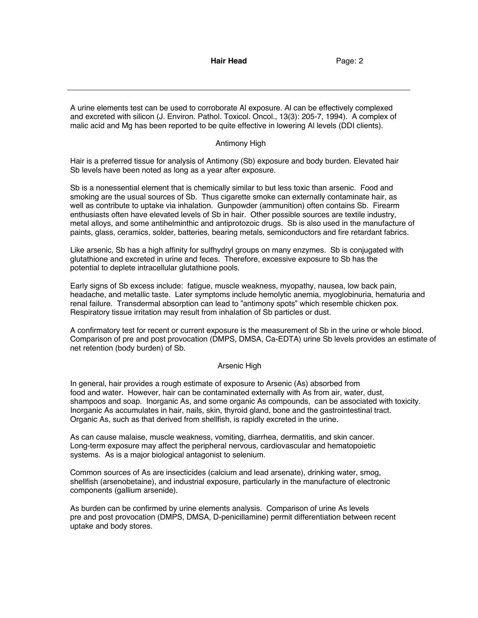A urine elements test can be used to corroborate Al exposure. Al can be effectively complexed and excreted with silicon (J. Environ. Pathol. Toxicol. Oncol., 13(3): 205-7, 1994). A complex of malic acid and Mg has been reported to be quite effective in lowering Al levels (DDI clients).

### Antimony High

Hair is a preferred tissue for analysis of Antimony (Sb) exposure and body burden. Elevated hair Sb levels have been noted as long as a year after exposure.

Sb is a nonessential element that is chemically similar to but less toxic than arsenic. Food and smoking are the usual sources of Sb. Thus cigarette smoke can externally contaminate hair, as well as contribute to uptake via inhalation. Gunpowder (ammunition) often contains Sb. Firearm enthusiasts often have elevated levels of Sb in hair. Other possible sources are textile industry, metal alloys, and some antihelminthic and antiprotozoic drugs. Sb is also used in the manufacture of paints, glass, ceramics, solder, batteries, bearing metals, semiconductors and fire retardant fabrics.

Like arsenic, Sb has a high affinity for sulfhydryl groups on many enzymes. Sb is conjugated with glutathione and excreted in urine and feces. Therefore, excessive exposure to Sb has the potential to deplete intracellular glutathione pools.

Early signs of Sb excess include: fatigue, muscle weakness, myopathy, nausea, low back pain, headache, and metallic taste. Later symptoms include hemolytic anemia, myoglobinuria, hematuria and renal failure. Transdermal absorption can lead to "antimony spots" which resemble chicken pox. Respiratory tissue irritation may result from inhalation of Sb particles or dust.

A confirmatory test for recent or current exposure is the measurement of Sb in the urine or whole blood. Comparison of pre and post provocation (DMPS, DMSA, Ca-EDTA) urine Sb levels provides an estimate of net retention (body burden) of Sb.

#### Arsenic High

In general, hair provides a rough estimate of exposure to Arsenic (As) absorbed from food and water. However, hair can be contaminated externally with As from air, water, dust, shampoos and soap. Inorganic As, and some organic As compounds, can be associated with toxicity. Inorganic As accumulates in hair, nails, skin, thyroid gland, bone and the gastrointestinal tract. Organic As, such as that derived from shellfish, is rapidly excreted in the urine.

As can cause malaise, muscle weakness, vomiting, diarrhea, dermatitis, and skin cancer. Long-term exposure may affect the peripheral nervous, cardiovascular and hematopoietic systems. As is a major biological antagonist to selenium.

Common sources of As are insecticides (calcium and lead arsenate), drinking water, smog, shellfish (arsenobetaine), and industrial exposure, particularly in the manufacture of electronic components (gallium arsenide).

As burden can be confirmed by urine elements analysis. Comparison of urine As levels pre and post provocation (DMPS, DMSA, D-penicillamine) permit differentiation between recent uptake and body stores.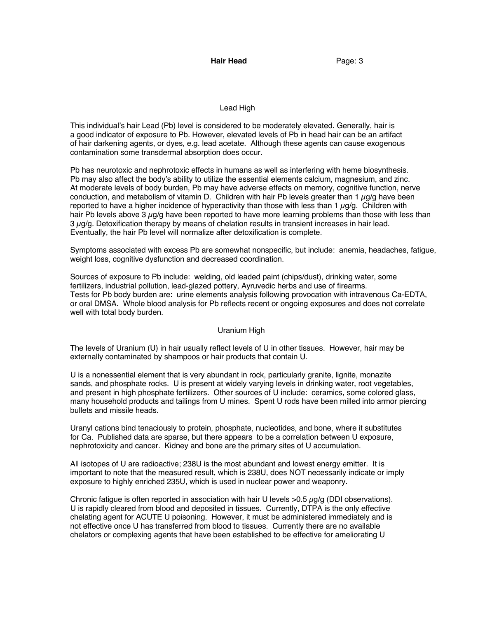# Lead High

This individual's hair Lead (Pb) level is considered to be moderately elevated. Generally, hair is a good indicator of exposure to Pb. However, elevated levels of Pb in head hair can be an artifact of hair darkening agents, or dyes, e.g. lead acetate. Although these agents can cause exogenous contamination some transdermal absorption does occur.

Pb has neurotoxic and nephrotoxic effects in humans as well as interfering with heme biosynthesis. Pb may also affect the body's ability to utilize the essential elements calcium, magnesium, and zinc. At moderate levels of body burden, Pb may have adverse effects on memory, cognitive function, nerve conduction, and metabolism of vitamin D. Children with hair Pb levels greater than 1  $\mu$ g/g have been reported to have a higher incidence of hyperactivity than those with less than  $1 \mu q/q$ . Children with hair Pb levels above 3  $\mu$ g/g have been reported to have more learning problems than those with less than 3 µg/g. Detoxification therapy by means of chelation results in transient increases in hair lead. Eventually, the hair Pb level will normalize after detoxification is complete.

Symptoms associated with excess Pb are somewhat nonspecific, but include: anemia, headaches, fatigue, weight loss, cognitive dysfunction and decreased coordination.

Sources of exposure to Pb include: welding, old leaded paint (chips/dust), drinking water, some fertilizers, industrial pollution, lead-glazed pottery, Ayruvedic herbs and use of firearms. Tests for Pb body burden are: urine elements analysis following provocation with intravenous Ca-EDTA, or oral DMSA. Whole blood analysis for Pb reflects recent or ongoing exposures and does not correlate well with total body burden.

# Uranium High

The levels of Uranium (U) in hair usually reflect levels of U in other tissues. However, hair may be externally contaminated by shampoos or hair products that contain U.

U is a nonessential element that is very abundant in rock, particularly granite, lignite, monazite sands, and phosphate rocks. U is present at widely varying levels in drinking water, root vegetables, and present in high phosphate fertilizers. Other sources of U include: ceramics, some colored glass, many household products and tailings from U mines. Spent U rods have been milled into armor piercing bullets and missile heads.

Uranyl cations bind tenaciously to protein, phosphate, nucleotides, and bone, where it substitutes for Ca. Published data are sparse, but there appears to be a correlation between U exposure, nephrotoxicity and cancer. Kidney and bone are the primary sites of U accumulation.

All isotopes of U are radioactive; 238U is the most abundant and lowest energy emitter. It is important to note that the measured result, which is 238U, does NOT necessarily indicate or imply exposure to highly enriched 235U, which is used in nuclear power and weaponry.

Chronic fatigue is often reported in association with hair U levels  $>0.5 \mu q/q$  (DDI observations). U is rapidly cleared from blood and deposited in tissues. Currently, DTPA is the only effective chelating agent for ACUTE U poisoning. However, it must be administered immediately and is not effective once U has transferred from blood to tissues. Currently there are no available chelators or complexing agents that have been established to be effective for ameliorating U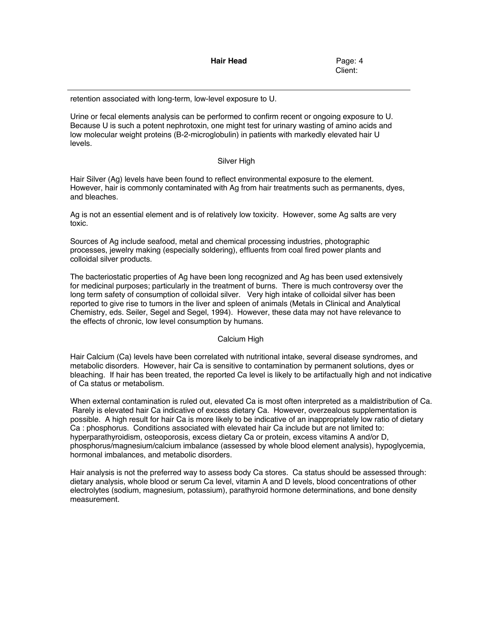Client:

retention associated with long-term, low-level exposure to U.

Urine or fecal elements analysis can be performed to confirm recent or ongoing exposure to U. Because U is such a potent nephrotoxin, one might test for urinary wasting of amino acids and low molecular weight proteins (B-2-microglobulin) in patients with markedly elevated hair U levels.

### Silver High

Hair Silver (Ag) levels have been found to reflect environmental exposure to the element. However, hair is commonly contaminated with Ag from hair treatments such as permanents, dyes, and bleaches.

Ag is not an essential element and is of relatively low toxicity. However, some Ag salts are very toxic.

Sources of Ag include seafood, metal and chemical processing industries, photographic processes, jewelry making (especially soldering), effluents from coal fired power plants and colloidal silver products.

The bacteriostatic properties of Ag have been long recognized and Ag has been used extensively for medicinal purposes; particularly in the treatment of burns. There is much controversy over the long term safety of consumption of colloidal silver. Very high intake of colloidal silver has been reported to give rise to tumors in the liver and spleen of animals (Metals in Clinical and Analytical Chemistry, eds. Seiler, Segel and Segel, 1994). However, these data may not have relevance to the effects of chronic, low level consumption by humans.

# Calcium High

Hair Calcium (Ca) levels have been correlated with nutritional intake, several disease syndromes, and metabolic disorders. However, hair Ca is sensitive to contamination by permanent solutions, dyes or bleaching. If hair has been treated, the reported Ca level is likely to be artifactually high and not indicative of Ca status or metabolism.

When external contamination is ruled out, elevated Ca is most often interpreted as a maldistribution of Ca. Rarely is elevated hair Ca indicative of excess dietary Ca. However, overzealous supplementation is possible. A high result for hair Ca is more likely to be indicative of an inappropriately low ratio of dietary Ca : phosphorus. Conditions associated with elevated hair Ca include but are not limited to: hyperparathyroidism, osteoporosis, excess dietary Ca or protein, excess vitamins A and/or D, phosphorus/magnesium/calcium imbalance (assessed by whole blood element analysis), hypoglycemia, hormonal imbalances, and metabolic disorders.

Hair analysis is not the preferred way to assess body Ca stores. Ca status should be assessed through: dietary analysis, whole blood or serum Ca level, vitamin A and D levels, blood concentrations of other electrolytes (sodium, magnesium, potassium), parathyroid hormone determinations, and bone density measurement.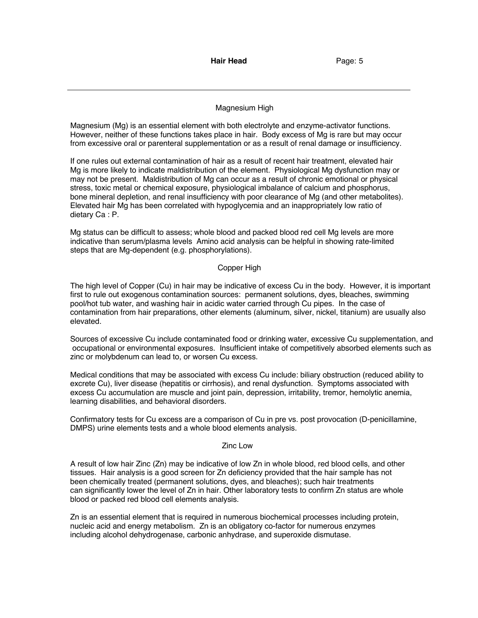# Magnesium High

Magnesium (Mg) is an essential element with both electrolyte and enzyme-activator functions. However, neither of these functions takes place in hair. Body excess of Mg is rare but may occur from excessive oral or parenteral supplementation or as a result of renal damage or insufficiency.

If one rules out external contamination of hair as a result of recent hair treatment, elevated hair Mg is more likely to indicate maldistribution of the element. Physiological Mg dysfunction may or may not be present. Maldistribution of Mg can occur as a result of chronic emotional or physical stress, toxic metal or chemical exposure, physiological imbalance of calcium and phosphorus, bone mineral depletion, and renal insufficiency with poor clearance of Mg (and other metabolites). Elevated hair Mg has been correlated with hypoglycemia and an inappropriately low ratio of dietary Ca : P.

Mg status can be difficult to assess; whole blood and packed blood red cell Mg levels are more indicative than serum/plasma levels Amino acid analysis can be helpful in showing rate-limited steps that are Mg-dependent (e.g. phosphorylations).

### Copper High

The high level of Copper (Cu) in hair may be indicative of excess Cu in the body. However, it is important first to rule out exogenous contamination sources: permanent solutions, dyes, bleaches, swimming pool/hot tub water, and washing hair in acidic water carried through Cu pipes. In the case of contamination from hair preparations, other elements (aluminum, silver, nickel, titanium) are usually also elevated.

Sources of excessive Cu include contaminated food or drinking water, excessive Cu supplementation, and occupational or environmental exposures. Insufficient intake of competitively absorbed elements such as zinc or molybdenum can lead to, or worsen Cu excess.

Medical conditions that may be associated with excess Cu include: biliary obstruction (reduced ability to excrete Cu), liver disease (hepatitis or cirrhosis), and renal dysfunction. Symptoms associated with excess Cu accumulation are muscle and joint pain, depression, irritability, tremor, hemolytic anemia, learning disabilities, and behavioral disorders.

Confirmatory tests for Cu excess are a comparison of Cu in pre vs. post provocation (D-penicillamine, DMPS) urine elements tests and a whole blood elements analysis.

### Zinc Low

A result of low hair Zinc (Zn) may be indicative of low Zn in whole blood, red blood cells, and other tissues. Hair analysis is a good screen for Zn deficiency provided that the hair sample has not been chemically treated (permanent solutions, dyes, and bleaches); such hair treatments can significantly lower the level of Zn in hair. Other laboratory tests to confirm Zn status are whole blood or packed red blood cell elements analysis.

Zn is an essential element that is required in numerous biochemical processes including protein, nucleic acid and energy metabolism. Zn is an obligatory co-factor for numerous enzymes including alcohol dehydrogenase, carbonic anhydrase, and superoxide dismutase.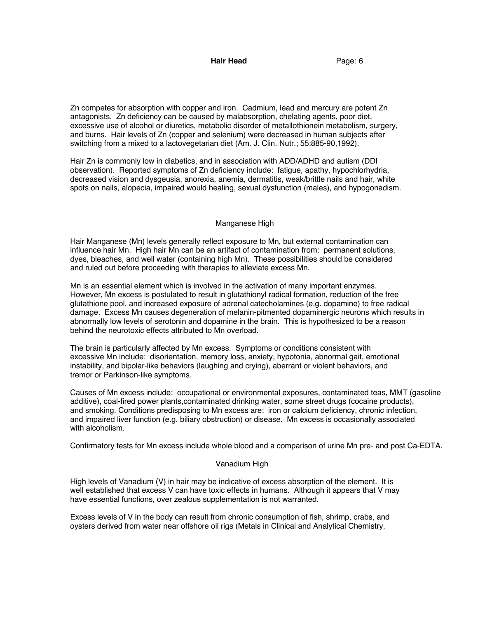Zn competes for absorption with copper and iron. Cadmium, lead and mercury are potent Zn antagonists. Zn deficiency can be caused by malabsorption, chelating agents, poor diet, excessive use of alcohol or diuretics, metabolic disorder of metallothionein metabolism, surgery, and burns. Hair levels of Zn (copper and selenium) were decreased in human subjects after switching from a mixed to a lactovegetarian diet (Am. J. Clin. Nutr.; 55:885-90,1992).

Hair Zn is commonly low in diabetics, and in association with ADD/ADHD and autism (DDI observation). Reported symptoms of Zn deficiency include: fatigue, apathy, hypochlorhydria, decreased vision and dysgeusia, anorexia, anemia, dermatitis, weak/brittle nails and hair, white spots on nails, alopecia, impaired would healing, sexual dysfunction (males), and hypogonadism.

#### Manganese High

Hair Manganese (Mn) levels generally reflect exposure to Mn, but external contamination can influence hair Mn. High hair Mn can be an artifact of contamination from: permanent solutions, dyes, bleaches, and well water (containing high Mn). These possibilities should be considered and ruled out before proceeding with therapies to alleviate excess Mn.

Mn is an essential element which is involved in the activation of many important enzymes. However, Mn excess is postulated to result in glutathionyl radical formation, reduction of the free glutathione pool, and increased exposure of adrenal catecholamines (e.g. dopamine) to free radical damage. Excess Mn causes degeneration of melanin-pitmented dopaminergic neurons which results in abnormally low levels of serotonin and dopamine in the brain. This is hypothesized to be a reason behind the neurotoxic effects attributed to Mn overload.

The brain is particularly affected by Mn excess. Symptoms or conditions consistent with excessive Mn include: disorientation, memory loss, anxiety, hypotonia, abnormal gait, emotional instability, and bipolar-like behaviors (laughing and crying), aberrant or violent behaviors, and tremor or Parkinson-like symptoms.

Causes of Mn excess include: occupational or environmental exposures, contaminated teas, MMT (gasoline additive), coal-fired power plants,contaminated drinking water, some street drugs (cocaine products), and smoking. Conditions predisposing to Mn excess are: iron or calcium deficiency, chronic infection, and impaired liver function (e.g. biliary obstruction) or disease. Mn excess is occasionally associated with alcoholism.

Confirmatory tests for Mn excess include whole blood and a comparison of urine Mn pre- and post Ca-EDTA.

#### Vanadium High

High levels of Vanadium (V) in hair may be indicative of excess absorption of the element. It is well established that excess V can have toxic effects in humans. Although it appears that V may have essential functions, over zealous supplementation is not warranted.

Excess levels of V in the body can result from chronic consumption of fish, shrimp, crabs, and oysters derived from water near offshore oil rigs (Metals in Clinical and Analytical Chemistry,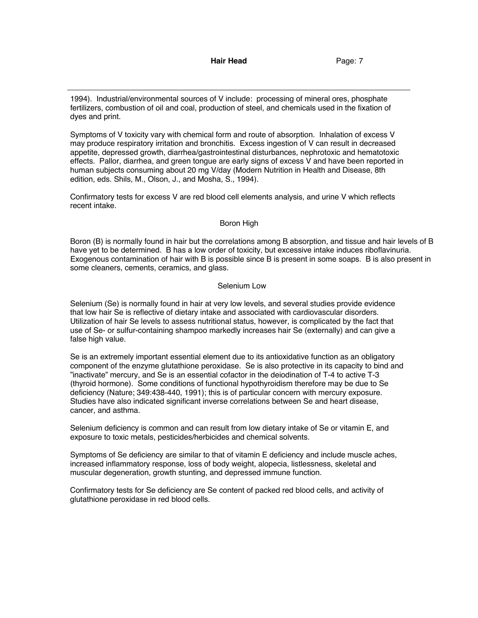1994). Industrial/environmental sources of V include: processing of mineral ores, phosphate fertilizers, combustion of oil and coal, production of steel, and chemicals used in the fixation of dyes and print.

Symptoms of V toxicity vary with chemical form and route of absorption. Inhalation of excess V may produce respiratory irritation and bronchitis. Excess ingestion of V can result in decreased appetite, depressed growth, diarrhea/gastrointestinal disturbances, nephrotoxic and hematotoxic effects. Pallor, diarrhea, and green tongue are early signs of excess V and have been reported in human subjects consuming about 20 mg V/day (Modern Nutrition in Health and Disease, 8th edition, eds. Shils, M., Olson, J., and Mosha, S., 1994).

Confirmatory tests for excess V are red blood cell elements analysis, and urine V which reflects recent intake.

#### Boron High

Boron (B) is normally found in hair but the correlations among B absorption, and tissue and hair levels of B have yet to be determined. B has a low order of toxicity, but excessive intake induces riboflavinuria. Exogenous contamination of hair with B is possible since B is present in some soaps. B is also present in some cleaners, cements, ceramics, and glass.

#### Selenium Low

Selenium (Se) is normally found in hair at very low levels, and several studies provide evidence that low hair Se is reflective of dietary intake and associated with cardiovascular disorders. Utilization of hair Se levels to assess nutritional status, however, is complicated by the fact that use of Se- or sulfur-containing shampoo markedly increases hair Se (externally) and can give a false high value.

Se is an extremely important essential element due to its antioxidative function as an obligatory component of the enzyme glutathione peroxidase. Se is also protective in its capacity to bind and "inactivate" mercury, and Se is an essential cofactor in the deiodination of T-4 to active T-3 (thyroid hormone). Some conditions of functional hypothyroidism therefore may be due to Se deficiency (Nature; 349:438-440, 1991); this is of particular concern with mercury exposure. Studies have also indicated significant inverse correlations between Se and heart disease, cancer, and asthma.

Selenium deficiency is common and can result from low dietary intake of Se or vitamin E, and exposure to toxic metals, pesticides/herbicides and chemical solvents.

Symptoms of Se deficiency are similar to that of vitamin E deficiency and include muscle aches, increased inflammatory response, loss of body weight, alopecia, listlessness, skeletal and muscular degeneration, growth stunting, and depressed immune function.

Confirmatory tests for Se deficiency are Se content of packed red blood cells, and activity of glutathione peroxidase in red blood cells.